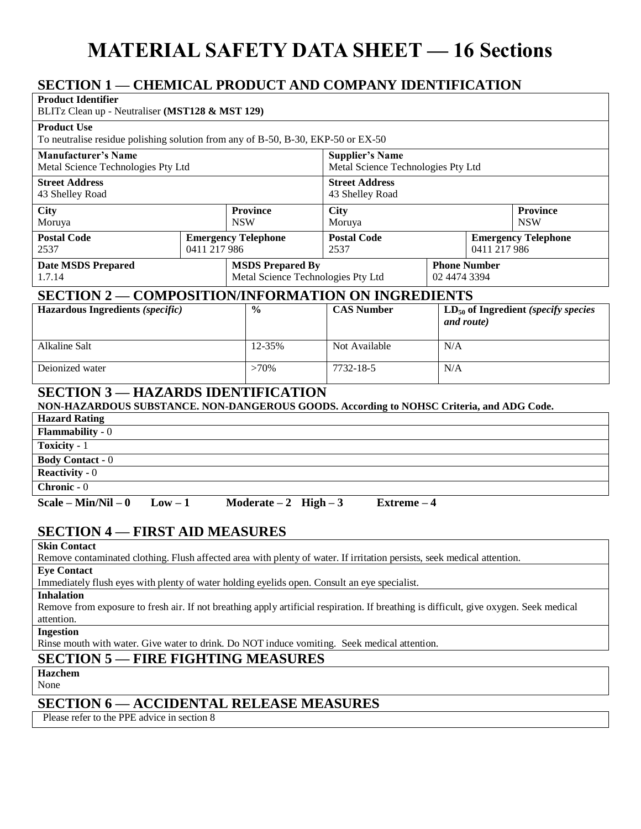# **MATERIAL SAFETY DATA SHEET — 16 Sections**

## **SECTION 1 — CHEMICAL PRODUCT AND COMPANY IDENTIFICATION**

| SECTION T— CHEMICAL FRODUCT AND COMPANT IDENTIFICATION                                                                                                                    |  |                               |                                                               |                                                              |     |                                                        |  |
|---------------------------------------------------------------------------------------------------------------------------------------------------------------------------|--|-------------------------------|---------------------------------------------------------------|--------------------------------------------------------------|-----|--------------------------------------------------------|--|
| <b>Product Identifier</b><br>BLITz Clean up - Neutraliser (MST128 & MST 129)                                                                                              |  |                               |                                                               |                                                              |     |                                                        |  |
| <b>Product Use</b><br>To neutralise residue polishing solution from any of B-50, B-30, EKP-50 or EX-50                                                                    |  |                               |                                                               |                                                              |     |                                                        |  |
| <b>Manufacturer's Name</b><br>Metal Science Technologies Pty Ltd                                                                                                          |  |                               |                                                               | <b>Supplier's Name</b><br>Metal Science Technologies Pty Ltd |     |                                                        |  |
| <b>Street Address</b><br>43 Shelley Road                                                                                                                                  |  |                               |                                                               | <b>Street Address</b><br>43 Shelley Road                     |     |                                                        |  |
| <b>City</b><br>Moruya                                                                                                                                                     |  | <b>Province</b><br><b>NSW</b> |                                                               | <b>City</b><br>Moruya                                        |     | <b>Province</b><br><b>NSW</b>                          |  |
| <b>Postal Code</b><br>2537<br>0411 217 986                                                                                                                                |  | <b>Emergency Telephone</b>    |                                                               | <b>Postal Code</b><br>2537                                   |     | <b>Emergency Telephone</b><br>0411 217 986             |  |
| <b>Date MSDS Prepared</b><br>1.7.14                                                                                                                                       |  |                               | <b>MSDS Prepared By</b><br>Metal Science Technologies Pty Ltd |                                                              |     | <b>Phone Number</b><br>02 4474 3394                    |  |
| <b>SECTION 2 — COMPOSITION/INFORMATION ON INGREDIENTS</b>                                                                                                                 |  |                               |                                                               |                                                              |     |                                                        |  |
| Hazardous Ingredients (specific)                                                                                                                                          |  |                               | $\frac{0}{0}$                                                 | <b>CAS Number</b>                                            |     | $LD_{50}$ of Ingredient (specify species<br>and route) |  |
| <b>Alkaline Salt</b>                                                                                                                                                      |  |                               | 12-35%                                                        | Not Available                                                | N/A |                                                        |  |
| Deionized water                                                                                                                                                           |  |                               | $>70\%$                                                       | 7732-18-5                                                    | N/A |                                                        |  |
| <b>SECTION 3-HAZARDS IDENTIFICATION</b><br>NON-HAZARDOUS SUBSTANCE. NON-DANGEROUS GOODS. According to NOHSC Criteria, and ADG Code.                                       |  |                               |                                                               |                                                              |     |                                                        |  |
| <b>Hazard Rating</b>                                                                                                                                                      |  |                               |                                                               |                                                              |     |                                                        |  |
| <b>Flammability</b> - $0$                                                                                                                                                 |  |                               |                                                               |                                                              |     |                                                        |  |
| Toxicity - 1                                                                                                                                                              |  |                               |                                                               |                                                              |     |                                                        |  |
| <b>Body Contact - 0</b>                                                                                                                                                   |  |                               |                                                               |                                                              |     |                                                        |  |
| Reactivity - $0$                                                                                                                                                          |  |                               |                                                               |                                                              |     |                                                        |  |
| Chronic - 0                                                                                                                                                               |  |                               |                                                               |                                                              |     |                                                        |  |
| Scale – Min/Nil – $0$<br>$Low - 1$<br>Moderate $-2$ High $-3$<br>Extreme - 4                                                                                              |  |                               |                                                               |                                                              |     |                                                        |  |
| <b>SECTION 4 — FIRST AID MEASURES</b>                                                                                                                                     |  |                               |                                                               |                                                              |     |                                                        |  |
| <b>Skin Contact</b><br>Remove contaminated clothing. Flush affected area with plenty of water. If irritation persists, seek medical attention.                            |  |                               |                                                               |                                                              |     |                                                        |  |
| <b>Eye Contact</b>                                                                                                                                                        |  |                               |                                                               |                                                              |     |                                                        |  |
| Immediately flush eyes with plenty of water holding eyelids open. Consult an eye specialist.                                                                              |  |                               |                                                               |                                                              |     |                                                        |  |
| <b>Inhalation</b><br>Remove from exposure to fresh air. If not breathing apply artificial respiration. If breathing is difficult, give oxygen. Seek medical<br>attention. |  |                               |                                                               |                                                              |     |                                                        |  |
| <b>Ingestion</b><br>Rinse mouth with water. Give water to drink. Do NOT induce vomiting. Seek medical attention.                                                          |  |                               |                                                               |                                                              |     |                                                        |  |
| <b>SECTION 5 - FIRE FIGHTING MEASURES</b>                                                                                                                                 |  |                               |                                                               |                                                              |     |                                                        |  |
| <b>Hazchem</b>                                                                                                                                                            |  |                               |                                                               |                                                              |     |                                                        |  |
|                                                                                                                                                                           |  |                               |                                                               |                                                              |     |                                                        |  |

None

## **SECTION 6 — ACCIDENTAL RELEASE MEASURES**

Please refer to the PPE advice in section 8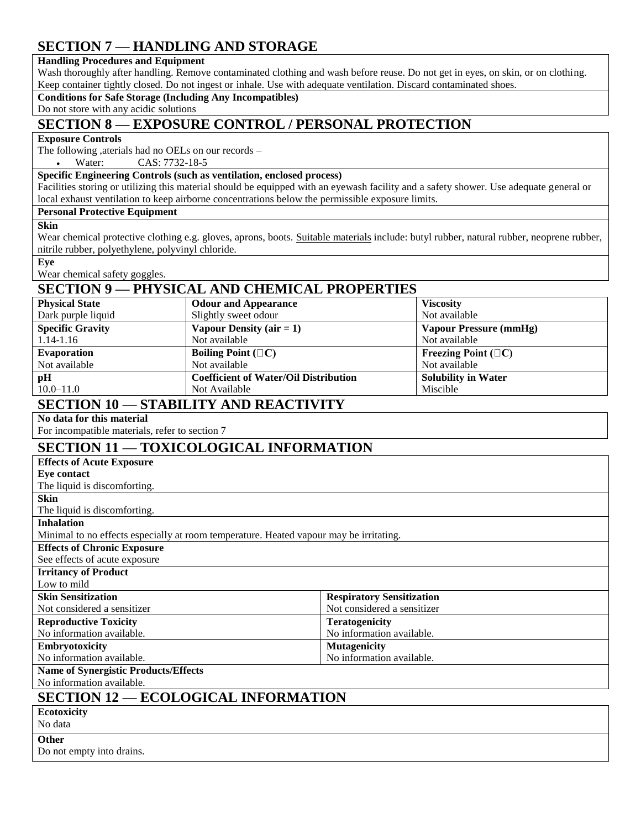## **SECTION 7 — HANDLING AND STORAGE**

#### **Handling Procedures and Equipment**

Wash thoroughly after handling. Remove contaminated clothing and wash before reuse. Do not get in eyes, on skin, or on clothing. Keep container tightly closed. Do not ingest or inhale. Use with adequate ventilation. Discard contaminated shoes.

#### **Conditions for Safe Storage (Including Any Incompatibles)**

Do not store with any acidic solutions

## **SECTION 8 — EXPOSURE CONTROL / PERSONAL PROTECTION**

#### **Exposure Controls**

The following ,aterials had no OELs on our records –

Water: CAS: 7732-18-5

### **Specific Engineering Controls (such as ventilation, enclosed process)**

Facilities storing or utilizing this material should be equipped with an eyewash facility and a safety shower. Use adequate general or local exhaust ventilation to keep airborne concentrations below the permissible exposure limits.

#### **Personal Protective Equipment**

#### **Skin**

Wear chemical protective clothing e.g. gloves, aprons, boots. [Suitable materials](http://www.ccohs.ca/oshanswers/prevention/ppe/trade_name.html) include: butyl rubber, natural rubber, neoprene rubber, nitrile rubber, polyethylene, polyvinyl chloride.

**Eye**

Wear chemical safety goggles.

## **SECTION 9 — PHYSICAL AND CHEMICAL PROPERTIES**

| <b>Physical State</b>                                                                                                                                                                        | <b>Odour and Appearance</b>                  | <b>Viscosity</b>           |  |  |  |
|----------------------------------------------------------------------------------------------------------------------------------------------------------------------------------------------|----------------------------------------------|----------------------------|--|--|--|
| Dark purple liquid                                                                                                                                                                           | Slightly sweet odour                         | Not available              |  |  |  |
| <b>Specific Gravity</b>                                                                                                                                                                      | Vapour Density $(air = 1)$                   | Vapour Pressure (mmHg)     |  |  |  |
| 1.14-1.16                                                                                                                                                                                    | Not available                                | Not available              |  |  |  |
| Evaporation                                                                                                                                                                                  | Boiling Point $(\Box C)$                     | Freezing Point $(\Box C)$  |  |  |  |
| Not available                                                                                                                                                                                | Not available                                | Not available              |  |  |  |
| pH                                                                                                                                                                                           | <b>Coefficient of Water/Oil Distribution</b> | <b>Solubility in Water</b> |  |  |  |
| $10.0 - 11.0$                                                                                                                                                                                | Not Available                                | Miscible                   |  |  |  |
| $\sim$ $\sim$ $\sim$ $\sim$ $\sim$ $\sim$ $\sim$<br>$\sim$ . The state of $\sim$ , $\sim$ , $\sim$ , $\sim$ , $\sim$ , $\sim$ , $\sim$ , $\sim$ , $\sim$ , $\sim$ , $\sim$ , $\sim$ , $\sim$ |                                              |                            |  |  |  |

## **SECTION 10 — STABILITY AND REACTIVITY**

### **No data for this material**

For incompatible materials, refer to section 7

## **SECTION 11 — TOXICOLOGICAL INFORMATION**

| <b>Effects of Acute Exposure</b>                                                       |                                  |  |  |  |
|----------------------------------------------------------------------------------------|----------------------------------|--|--|--|
| <b>Eye contact</b>                                                                     |                                  |  |  |  |
| The liquid is discomforting.                                                           |                                  |  |  |  |
| <b>Skin</b>                                                                            |                                  |  |  |  |
| The liquid is discomforting.                                                           |                                  |  |  |  |
| <b>Inhalation</b>                                                                      |                                  |  |  |  |
| Minimal to no effects especially at room temperature. Heated vapour may be irritating. |                                  |  |  |  |
| <b>Effects of Chronic Exposure</b>                                                     |                                  |  |  |  |
| See effects of acute exposure                                                          |                                  |  |  |  |
| <b>Irritancy of Product</b>                                                            |                                  |  |  |  |
| Low to mild                                                                            |                                  |  |  |  |
| <b>Skin Sensitization</b>                                                              | <b>Respiratory Sensitization</b> |  |  |  |
| Not considered a sensitizer                                                            | Not considered a sensitizer      |  |  |  |
| <b>Reproductive Toxicity</b>                                                           | <b>Teratogenicity</b>            |  |  |  |
| No information available.                                                              | No information available.        |  |  |  |
| <b>Embryotoxicity</b>                                                                  | <b>Mutagenicity</b>              |  |  |  |
| No information available.                                                              | No information available.        |  |  |  |
| <b>Name of Synergistic Products/Effects</b>                                            |                                  |  |  |  |
| No information available.                                                              |                                  |  |  |  |
| <b>SECTION 12 - ECOLOGICAL INFORMATION</b>                                             |                                  |  |  |  |
| <b>Ecotoxicity</b>                                                                     |                                  |  |  |  |

| $-$<br>No data            |  |
|---------------------------|--|
| Other                     |  |
| Do not empty into drains. |  |